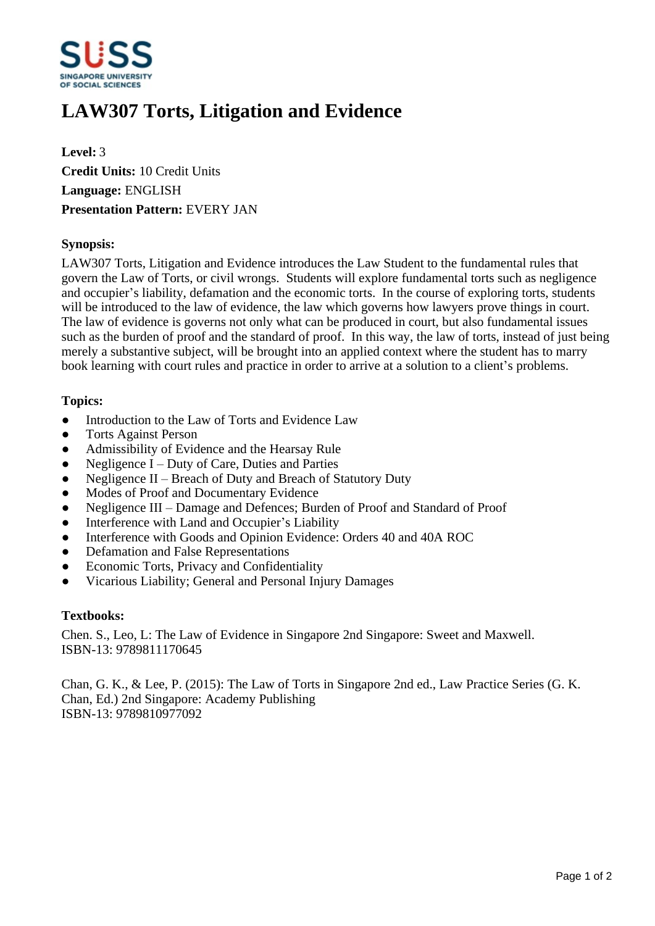

# **LAW307 Torts, Litigation and Evidence**

**Level:** 3 **Credit Units:** 10 Credit Units **Language:** ENGLISH **Presentation Pattern:** EVERY JAN

## **Synopsis:**

LAW307 Torts, Litigation and Evidence introduces the Law Student to the fundamental rules that govern the Law of Torts, or civil wrongs. Students will explore fundamental torts such as negligence and occupier's liability, defamation and the economic torts. In the course of exploring torts, students will be introduced to the law of evidence, the law which governs how lawyers prove things in court. The law of evidence is governs not only what can be produced in court, but also fundamental issues such as the burden of proof and the standard of proof. In this way, the law of torts, instead of just being merely a substantive subject, will be brought into an applied context where the student has to marry book learning with court rules and practice in order to arrive at a solution to a client's problems.

## **Topics:**

- Introduction to the Law of Torts and Evidence Law
- Torts Against Person
- ƔAdmissibility of Evidence and the Hearsay Rule
- $\bullet$  Negligence I Duty of Care, Duties and Parties
- $\bullet$  Negligence II Breach of Duty and Breach of Statutory Duty
- Modes of Proof and Documentary Evidence
- Negligence III Damage and Defences; Burden of Proof and Standard of Proof
- Interference with Land and Occupier's Liability
- Interference with Goods and Opinion Evidence: Orders 40 and 40A ROC
- Defamation and False Representations
- Economic Torts, Privacy and Confidentiality
- ƔVicarious Liability; General and Personal Injury Damages

#### **Textbooks:**

Chen. S., Leo, L: The Law of Evidence in Singapore 2nd Singapore: Sweet and Maxwell. ISBN-13: 9789811170645

Chan, G. K., & Lee, P. (2015): The Law of Torts in Singapore 2nd ed., Law Practice Series (G. K. Chan, Ed.) 2nd Singapore: Academy Publishing ISBN-13: 9789810977092